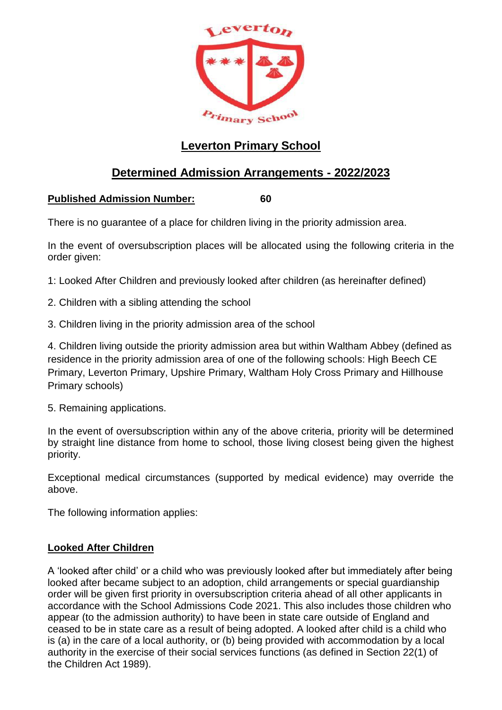

# **Leverton Primary School**

# **Determined Admission Arrangements - 2022/2023**

# **Published Admission Number: 60**

There is no guarantee of a place for children living in the priority admission area.

In the event of oversubscription places will be allocated using the following criteria in the order given:

1: Looked After Children and previously looked after children (as hereinafter defined)

- 2. Children with a sibling attending the school
- 3. Children living in the priority admission area of the school

4. Children living outside the priority admission area but within Waltham Abbey (defined as residence in the priority admission area of one of the following schools: High Beech CE Primary, Leverton Primary, Upshire Primary, Waltham Holy Cross Primary and Hillhouse Primary schools)

5. Remaining applications.

In the event of oversubscription within any of the above criteria, priority will be determined by straight line distance from home to school, those living closest being given the highest priority.

Exceptional medical circumstances (supported by medical evidence) may override the above.

The following information applies:

## **Looked After Children**

A 'looked after child' or a child who was previously looked after but immediately after being looked after became subject to an adoption, child arrangements or special guardianship order will be given first priority in oversubscription criteria ahead of all other applicants in accordance with the School Admissions Code 2021. This also includes those children who appear (to the admission authority) to have been in state care outside of England and ceased to be in state care as a result of being adopted. A looked after child is a child who is (a) in the care of a local authority, or (b) being provided with accommodation by a local authority in the exercise of their social services functions (as defined in Section 22(1) of the Children Act 1989).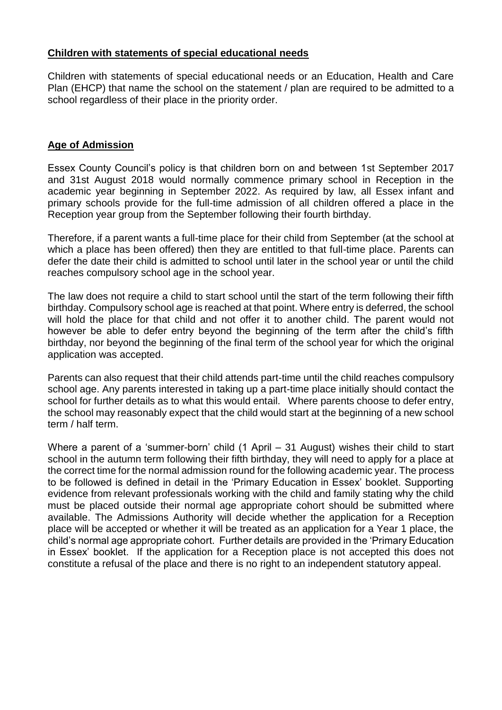#### **Children with statements of special educational needs**

Children with statements of special educational needs or an Education, Health and Care Plan (EHCP) that name the school on the statement / plan are required to be admitted to a school regardless of their place in the priority order.

#### **Age of Admission**

Essex County Council's policy is that children born on and between 1st September 2017 and 31st August 2018 would normally commence primary school in Reception in the academic year beginning in September 2022. As required by law, all Essex infant and primary schools provide for the full-time admission of all children offered a place in the Reception year group from the September following their fourth birthday.

Therefore, if a parent wants a full-time place for their child from September (at the school at which a place has been offered) then they are entitled to that full-time place. Parents can defer the date their child is admitted to school until later in the school year or until the child reaches compulsory school age in the school year.

The law does not require a child to start school until the start of the term following their fifth birthday. Compulsory school age is reached at that point. Where entry is deferred, the school will hold the place for that child and not offer it to another child. The parent would not however be able to defer entry beyond the beginning of the term after the child's fifth birthday, nor beyond the beginning of the final term of the school year for which the original application was accepted.

Parents can also request that their child attends part-time until the child reaches compulsory school age. Any parents interested in taking up a part-time place initially should contact the school for further details as to what this would entail. Where parents choose to defer entry, the school may reasonably expect that the child would start at the beginning of a new school term / half term.

Where a parent of a 'summer-born' child (1 April – 31 August) wishes their child to start school in the autumn term following their fifth birthday, they will need to apply for a place at the correct time for the normal admission round for the following academic year. The process to be followed is defined in detail in the 'Primary Education in Essex' booklet. Supporting evidence from relevant professionals working with the child and family stating why the child must be placed outside their normal age appropriate cohort should be submitted where available. The Admissions Authority will decide whether the application for a Reception place will be accepted or whether it will be treated as an application for a Year 1 place, the child's normal age appropriate cohort. Further details are provided in the 'Primary Education in Essex' booklet. If the application for a Reception place is not accepted this does not constitute a refusal of the place and there is no right to an independent statutory appeal.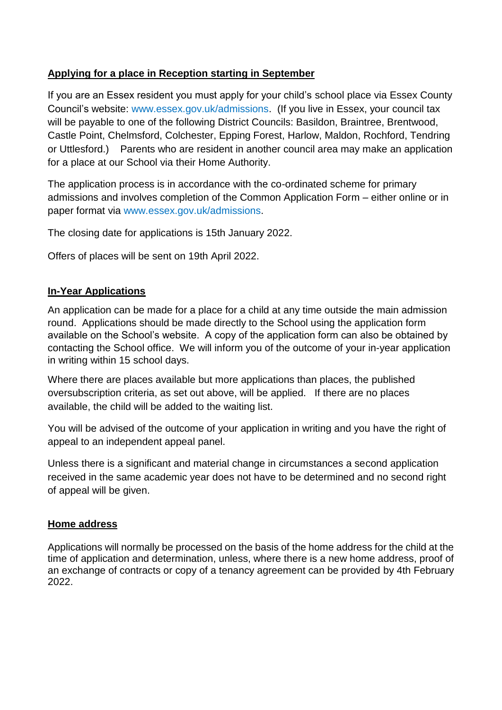## **Applying for a place in Reception starting in September**

If you are an Essex resident you must apply for your child's school place via Essex County Council's website: [www.essex.gov.uk/admissions.](http://www.essex.gov.uk/admissions) (If you live in Essex, your council tax will be payable to one of the following District Councils: Basildon, Braintree, Brentwood, Castle Point, Chelmsford, Colchester, Epping Forest, Harlow, Maldon, Rochford, Tendring or Uttlesford.) Parents who are resident in another council area may make an application for a place at our School via their Home Authority.

The application process is in accordance with the co-ordinated scheme for primary admissions and involves completion of the Common Application Form – either online or in paper format via www.essex.gov.uk/admissions.

The closing date for applications is 15th January 2022.

Offers of places will be sent on 19th April 2022.

# **In-Year Applications**

An application can be made for a place for a child at any time outside the main admission round. Applications should be made directly to the School using the application form available on the School's website. A copy of the application form can also be obtained by contacting the School office. We will inform you of the outcome of your in-year application in writing within 15 school days.

Where there are places available but more applications than places, the published oversubscription criteria, as set out above, will be applied. If there are no places available, the child will be added to the waiting list.

You will be advised of the outcome of your application in writing and you have the right of appeal to an independent appeal panel.

Unless there is a significant and material change in circumstances a second application received in the same academic year does not have to be determined and no second right of appeal will be given.

## **Home address**

Applications will normally be processed on the basis of the home address for the child at the time of application and determination, unless, where there is a new home address, proof of an exchange of contracts or copy of a tenancy agreement can be provided by 4th February 2022.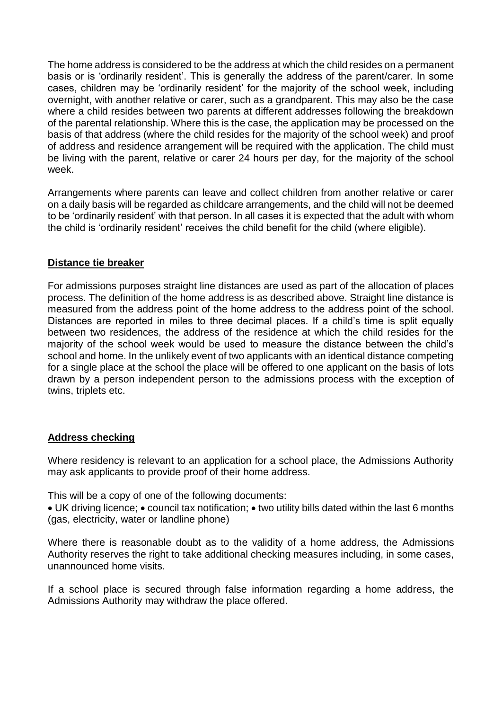The home address is considered to be the address at which the child resides on a permanent basis or is 'ordinarily resident'. This is generally the address of the parent/carer. In some cases, children may be 'ordinarily resident' for the majority of the school week, including overnight, with another relative or carer, such as a grandparent. This may also be the case where a child resides between two parents at different addresses following the breakdown of the parental relationship. Where this is the case, the application may be processed on the basis of that address (where the child resides for the majority of the school week) and proof of address and residence arrangement will be required with the application. The child must be living with the parent, relative or carer 24 hours per day, for the majority of the school week.

Arrangements where parents can leave and collect children from another relative or carer on a daily basis will be regarded as childcare arrangements, and the child will not be deemed to be 'ordinarily resident' with that person. In all cases it is expected that the adult with whom the child is 'ordinarily resident' receives the child benefit for the child (where eligible).

## **Distance tie breaker**

For admissions purposes straight line distances are used as part of the allocation of places process. The definition of the home address is as described above. Straight line distance is measured from the address point of the home address to the address point of the school. Distances are reported in miles to three decimal places. If a child's time is split equally between two residences, the address of the residence at which the child resides for the majority of the school week would be used to measure the distance between the child's school and home. In the unlikely event of two applicants with an identical distance competing for a single place at the school the place will be offered to one applicant on the basis of lots drawn by a person independent person to the admissions process with the exception of twins, triplets etc.

#### **Address checking**

Where residency is relevant to an application for a school place, the Admissions Authority may ask applicants to provide proof of their home address.

This will be a copy of one of the following documents:

• UK driving licence; • council tax notification; • two utility bills dated within the last 6 months (gas, electricity, water or landline phone)

Where there is reasonable doubt as to the validity of a home address, the Admissions Authority reserves the right to take additional checking measures including, in some cases, unannounced home visits.

If a school place is secured through false information regarding a home address, the Admissions Authority may withdraw the place offered.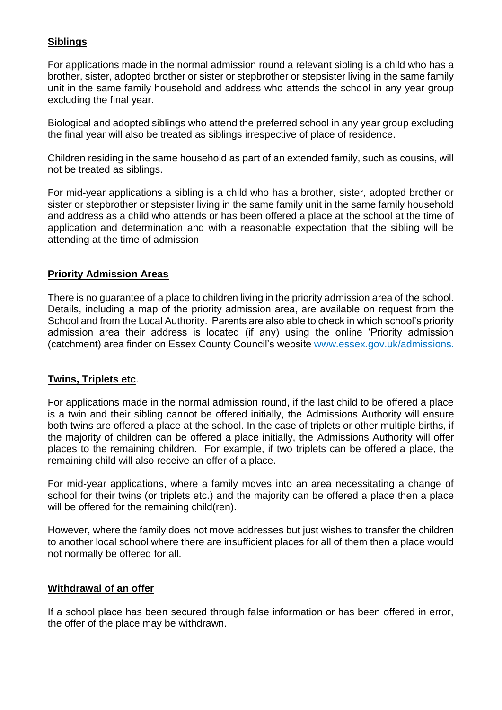## **Siblings**

For applications made in the normal admission round a relevant sibling is a child who has a brother, sister, adopted brother or sister or stepbrother or stepsister living in the same family unit in the same family household and address who attends the school in any year group excluding the final year.

Biological and adopted siblings who attend the preferred school in any year group excluding the final year will also be treated as siblings irrespective of place of residence.

Children residing in the same household as part of an extended family, such as cousins, will not be treated as siblings.

For mid-year applications a sibling is a child who has a brother, sister, adopted brother or sister or stepbrother or stepsister living in the same family unit in the same family household and address as a child who attends or has been offered a place at the school at the time of application and determination and with a reasonable expectation that the sibling will be attending at the time of admission

## **Priority Admission Areas**

There is no guarantee of a place to children living in the priority admission area of the school. Details, including a map of the priority admission area, are available on request from the School and from the Local Authority. Parents are also able to check in which school's priority admission area their address is located (if any) using the online 'Priority admission (catchment) area finder on Essex County Council's website www.essex.gov.uk/admissions.

## **Twins, Triplets etc**.

For applications made in the normal admission round, if the last child to be offered a place is a twin and their sibling cannot be offered initially, the Admissions Authority will ensure both twins are offered a place at the school. In the case of triplets or other multiple births, if the majority of children can be offered a place initially, the Admissions Authority will offer places to the remaining children. For example, if two triplets can be offered a place, the remaining child will also receive an offer of a place.

For mid-year applications, where a family moves into an area necessitating a change of school for their twins (or triplets etc.) and the majority can be offered a place then a place will be offered for the remaining child(ren).

However, where the family does not move addresses but just wishes to transfer the children to another local school where there are insufficient places for all of them then a place would not normally be offered for all.

#### **Withdrawal of an offer**

If a school place has been secured through false information or has been offered in error, the offer of the place may be withdrawn.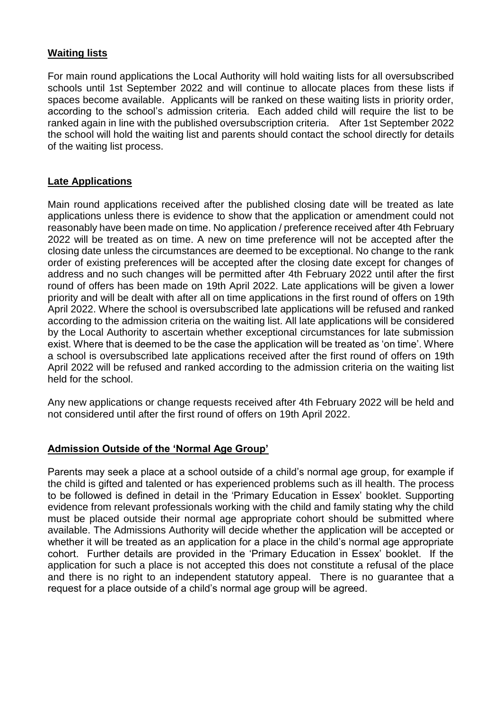## **Waiting lists**

For main round applications the Local Authority will hold waiting lists for all oversubscribed schools until 1st September 2022 and will continue to allocate places from these lists if spaces become available. Applicants will be ranked on these waiting lists in priority order, according to the school's admission criteria. Each added child will require the list to be ranked again in line with the published oversubscription criteria. After 1st September 2022 the school will hold the waiting list and parents should contact the school directly for details of the waiting list process.

## **Late Applications**

Main round applications received after the published closing date will be treated as late applications unless there is evidence to show that the application or amendment could not reasonably have been made on time. No application / preference received after 4th February 2022 will be treated as on time. A new on time preference will not be accepted after the closing date unless the circumstances are deemed to be exceptional. No change to the rank order of existing preferences will be accepted after the closing date except for changes of address and no such changes will be permitted after 4th February 2022 until after the first round of offers has been made on 19th April 2022. Late applications will be given a lower priority and will be dealt with after all on time applications in the first round of offers on 19th April 2022. Where the school is oversubscribed late applications will be refused and ranked according to the admission criteria on the waiting list. All late applications will be considered by the Local Authority to ascertain whether exceptional circumstances for late submission exist. Where that is deemed to be the case the application will be treated as 'on time'. Where a school is oversubscribed late applications received after the first round of offers on 19th April 2022 will be refused and ranked according to the admission criteria on the waiting list held for the school.

Any new applications or change requests received after 4th February 2022 will be held and not considered until after the first round of offers on 19th April 2022.

#### **Admission Outside of the 'Normal Age Group'**

Parents may seek a place at a school outside of a child's normal age group, for example if the child is gifted and talented or has experienced problems such as ill health. The process to be followed is defined in detail in the 'Primary Education in Essex' booklet. Supporting evidence from relevant professionals working with the child and family stating why the child must be placed outside their normal age appropriate cohort should be submitted where available. The Admissions Authority will decide whether the application will be accepted or whether it will be treated as an application for a place in the child's normal age appropriate cohort. Further details are provided in the 'Primary Education in Essex' booklet. If the application for such a place is not accepted this does not constitute a refusal of the place and there is no right to an independent statutory appeal. There is no guarantee that a request for a place outside of a child's normal age group will be agreed.